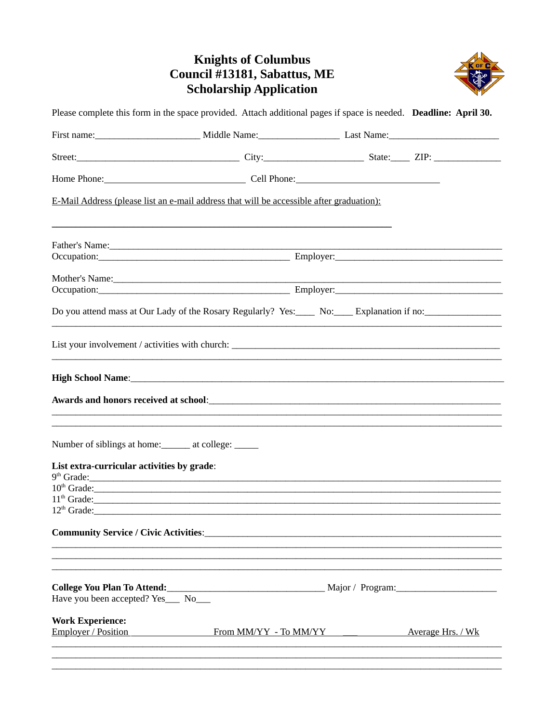## **Knights of Columbus<br>Council #13181, Sabattus, ME<br>Scholarship Application**



|                                                                                  | Please complete this form in the space provided. Attach additional pages if space is needed. Deadline: April 30.                                                                                                                                                  |  |  |  |
|----------------------------------------------------------------------------------|-------------------------------------------------------------------------------------------------------------------------------------------------------------------------------------------------------------------------------------------------------------------|--|--|--|
|                                                                                  |                                                                                                                                                                                                                                                                   |  |  |  |
|                                                                                  |                                                                                                                                                                                                                                                                   |  |  |  |
|                                                                                  |                                                                                                                                                                                                                                                                   |  |  |  |
|                                                                                  | E-Mail Address (please list an e-mail address that will be accessible after graduation):                                                                                                                                                                          |  |  |  |
|                                                                                  |                                                                                                                                                                                                                                                                   |  |  |  |
|                                                                                  | Occupation: Employer: Employer:                                                                                                                                                                                                                                   |  |  |  |
|                                                                                  | Mother's Name: Notice that the contract of the contract of the contract of the contract of the contract of the contract of the contract of the contract of the contract of the contract of the contract of the contract of the<br>Occupation: Employer: Employer: |  |  |  |
|                                                                                  | Do you attend mass at Our Lady of the Rosary Regularly? Yes:_____ No:_____ Explanation if no:_________________                                                                                                                                                    |  |  |  |
|                                                                                  | List your involvement / activities with church: Let the state of the state of the state of the state of the state of the state of the state of the state of the state of the state of the state of the state of the state of t                                    |  |  |  |
|                                                                                  |                                                                                                                                                                                                                                                                   |  |  |  |
|                                                                                  |                                                                                                                                                                                                                                                                   |  |  |  |
| Number of siblings at home:<br><u>Let</u> at college:<br><u>Let</u> and college: |                                                                                                                                                                                                                                                                   |  |  |  |
| List extra-curricular activities by grade:                                       | $9th$ Grade:                                                                                                                                                                                                                                                      |  |  |  |
|                                                                                  | $10th$ Grade:                                                                                                                                                                                                                                                     |  |  |  |
|                                                                                  | $11th$ Grade:                                                                                                                                                                                                                                                     |  |  |  |
|                                                                                  |                                                                                                                                                                                                                                                                   |  |  |  |
|                                                                                  |                                                                                                                                                                                                                                                                   |  |  |  |
| Have you been accepted? Yes___ No___                                             |                                                                                                                                                                                                                                                                   |  |  |  |
| <b>Work Experience:</b>                                                          |                                                                                                                                                                                                                                                                   |  |  |  |
| <b>Employer / Position</b>                                                       | <b>Example 19 From MM/YY</b> - To MM/YY - To MM/YY - Average Hrs. / Wk                                                                                                                                                                                            |  |  |  |
|                                                                                  |                                                                                                                                                                                                                                                                   |  |  |  |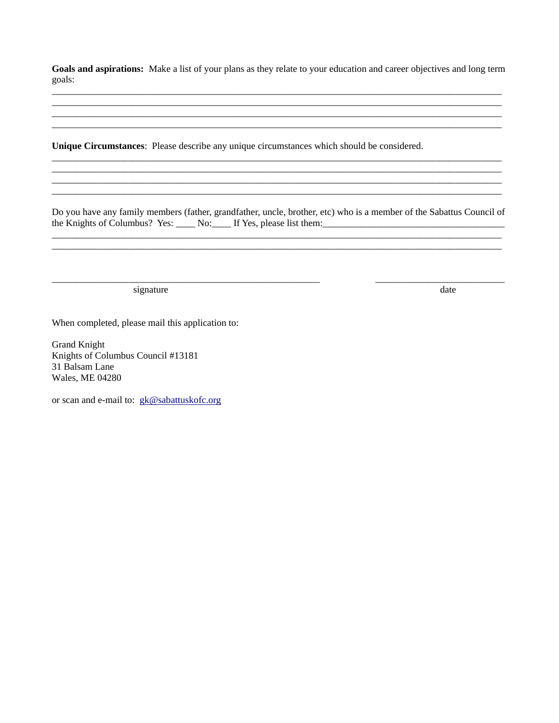Goals and aspirations: Make a list of your plans as they relate to your education and career objectives and long term goals:

Unique Circumstances: Please describe any unique circumstances which should be considered.

Do you have any family members (father, grandfather, uncle, brother, etc) who is a member of the Sabattus Council of the Knights of Columbus? Yes: No: If Yes, please list them: 1990 March 2010 March 2010 March 2010 March 2010 March 2010 March 2010 March 2010 March 2010 March 2010 March 2010 March 2010 March 2010 March 2010 March 2010 Mar

<u> 1989 - Andrea Santa Andrea Andrea Andrea Andrea Andrea Andrea Andrea Andrea Andrea Andrea Andrea Andrea Andr</u>

signature

date

When completed, please mail this application to:

**Grand Knight** Knights of Columbus Council #13181 31 Balsam Lane Wales, ME 04280

or scan and e-mail to: gk@sabattuskofc.org